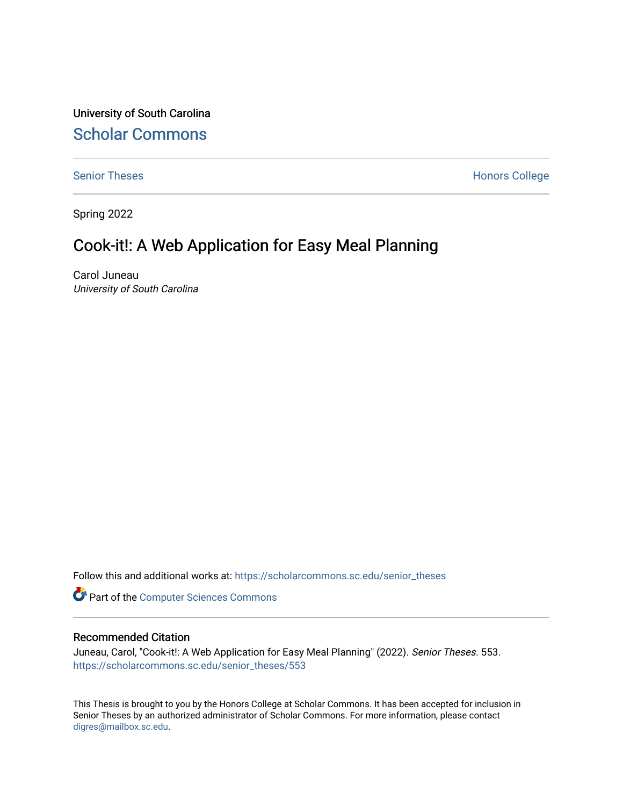University of South Carolina [Scholar Commons](https://scholarcommons.sc.edu/) 

[Senior Theses](https://scholarcommons.sc.edu/senior_theses) **Honors College** Honors College

Spring 2022

## Cook-it!: A Web Application for Easy Meal Planning

Carol Juneau University of South Carolina

Follow this and additional works at: [https://scholarcommons.sc.edu/senior\\_theses](https://scholarcommons.sc.edu/senior_theses?utm_source=scholarcommons.sc.edu%2Fsenior_theses%2F553&utm_medium=PDF&utm_campaign=PDFCoverPages) 

**Part of the [Computer Sciences Commons](https://network.bepress.com/hgg/discipline/142?utm_source=scholarcommons.sc.edu%2Fsenior_theses%2F553&utm_medium=PDF&utm_campaign=PDFCoverPages)** 

#### Recommended Citation

Juneau, Carol, "Cook-it!: A Web Application for Easy Meal Planning" (2022). Senior Theses. 553. [https://scholarcommons.sc.edu/senior\\_theses/553](https://scholarcommons.sc.edu/senior_theses/553?utm_source=scholarcommons.sc.edu%2Fsenior_theses%2F553&utm_medium=PDF&utm_campaign=PDFCoverPages) 

This Thesis is brought to you by the Honors College at Scholar Commons. It has been accepted for inclusion in Senior Theses by an authorized administrator of Scholar Commons. For more information, please contact [digres@mailbox.sc.edu](mailto:digres@mailbox.sc.edu).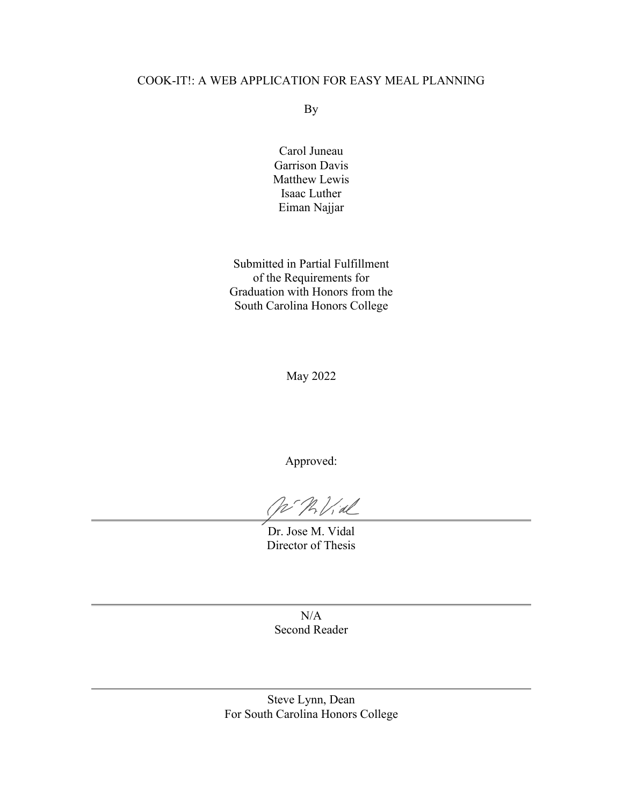#### COOK-IT!: A WEB APPLICATION FOR EASY MEAL PLANNING

By

Carol Juneau Garrison Davis Matthew Lewis Isaac Luther Eiman Najjar

<span id="page-1-0"></span>Submitted in Partial Fulfillment of the Requirements for Graduation with Honors from the South Carolina Honors College

May 2022

Approved:

Vid

Dr. Jose M. Vidal Director of Thesis

 $N/A$ Second Reader

Steve Lynn, Dean For South Carolina Honors College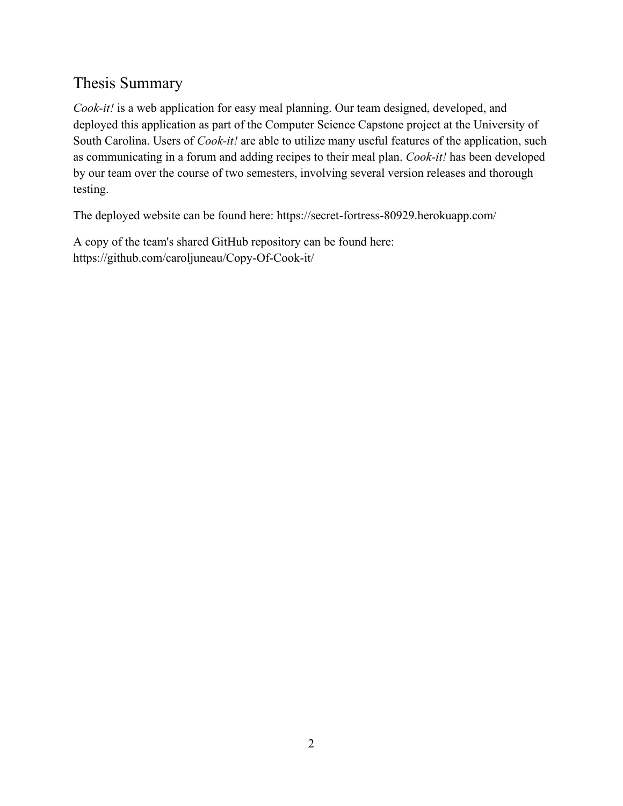## <span id="page-2-0"></span>Thesis Summary

*Cook-it!* is a web application for easy meal planning. Our team designed, developed, and deployed this application as part of the Computer Science Capstone project at the University of South Carolina. Users of *Cook-it!* are able to utilize many useful features of the application, such as communicating in a forum and adding recipes to their meal plan. *Cook-it!* has been developed by our team over the course of two semesters, involving several version releases and thorough testing.

The deployed website can be found here: https://secret-fortress-80929.herokuapp.com/

A copy of the team's shared GitHub repository can be found here: https://github.com/caroljuneau/Copy-Of-Cook-it/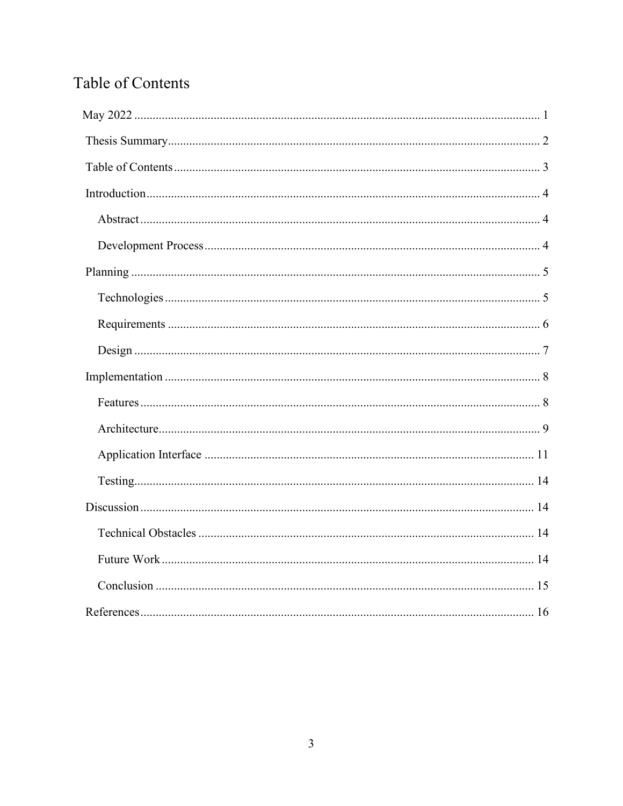## Table of Contents

<span id="page-3-0"></span>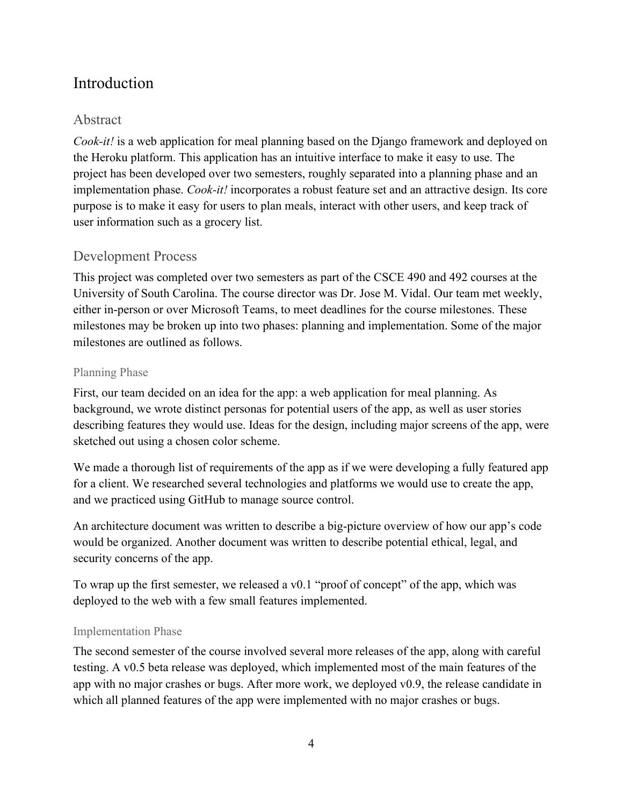## <span id="page-4-0"></span>Introduction

#### <span id="page-4-1"></span>Abstract

*Cook-it!* is a web application for meal planning based on the Django framework and deployed on the Heroku platform. This application has an intuitive interface to make it easy to use. The project has been developed over two semesters, roughly separated into a planning phase and an implementation phase. *Cook-it!* incorporates a robust feature set and an attractive design. Its core purpose is to make it easy for users to plan meals, interact with other users, and keep track of user information such as a grocery list.

#### <span id="page-4-2"></span>Development Process

This project was completed over two semesters as part of the CSCE 490 and 492 courses at the University of South Carolina. The course director was Dr. Jose M. Vidal. Our team met weekly, either in-person or over Microsoft Teams, to meet deadlines for the course milestones. These milestones may be broken up into two phases: planning and implementation. Some of the major milestones are outlined as follows.

#### Planning Phase

First, our team decided on an idea for the app: a web application for meal planning. As background, we wrote distinct personas for potential users of the app, as well as user stories describing features they would use. Ideas for the design, including major screens of the app, were sketched out using a chosen color scheme.

We made a thorough list of requirements of the app as if we were developing a fully featured app for a client. We researched several technologies and platforms we would use to create the app, and we practiced using GitHub to manage source control.

An architecture document was written to describe a big-picture overview of how our app's code would be organized. Another document was written to describe potential ethical, legal, and security concerns of the app.

To wrap up the first semester, we released a v0.1 "proof of concept" of the app, which was deployed to the web with a few small features implemented.

#### Implementation Phase

The second semester of the course involved several more releases of the app, along with careful testing. A v0.5 beta release was deployed, which implemented most of the main features of the app with no major crashes or bugs. After more work, we deployed v0.9, the release candidate in which all planned features of the app were implemented with no major crashes or bugs.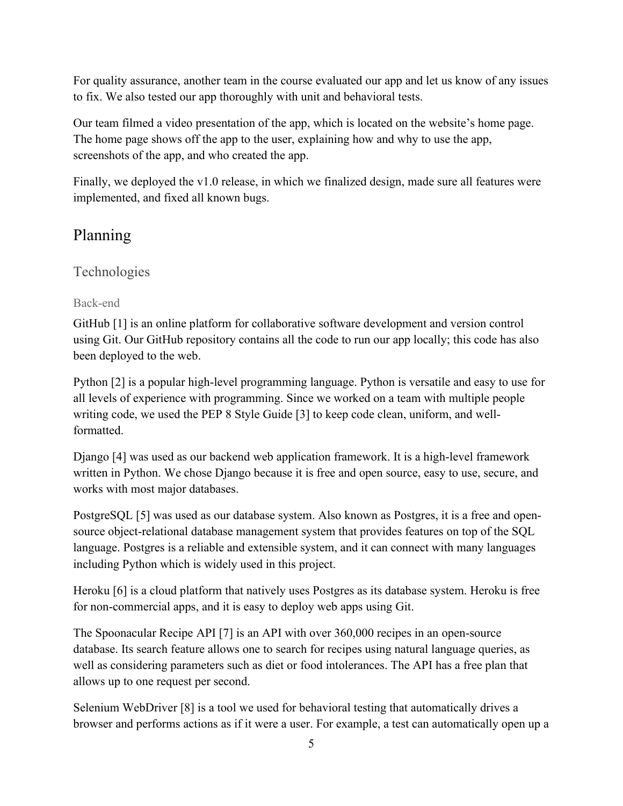For quality assurance, another team in the course evaluated our app and let us know of any issues to fix. We also tested our app thoroughly with unit and behavioral tests.

Our team filmed a video presentation of the app, which is located on the website's home page. The home page shows off the app to the user, explaining how and why to use the app, screenshots of the app, and who created the app.

Finally, we deployed the v1.0 release, in which we finalized design, made sure all features were implemented, and fixed all known bugs.

## <span id="page-5-0"></span>Planning

#### <span id="page-5-1"></span>Technologies

#### Back-end

GitHub [1] is an online platform for collaborative software development and version control using Git. Our GitHub repository contains all the code to run our app locally; this code has also been deployed to the web.

Python [2] is a popular high-level programming language. Python is versatile and easy to use for all levels of experience with programming. Since we worked on a team with multiple people writing code, we used the PEP 8 Style Guide [3] to keep code clean, uniform, and wellformatted.

Django [4] was used as our backend web application framework. It is a high-level framework written in Python. We chose Django because it is free and open source, easy to use, secure, and works with most major databases.

PostgreSQL [5] was used as our database system. Also known as Postgres, it is a free and opensource object-relational database management system that provides features on top of the SQL language. Postgres is a reliable and extensible system, and it can connect with many languages including Python which is widely used in this project.

Heroku [6] is a cloud platform that natively uses Postgres as its database system. Heroku is free for non-commercial apps, and it is easy to deploy web apps using Git.

The Spoonacular Recipe API [7] is an API with over 360,000 recipes in an open-source database. Its search feature allows one to search for recipes using natural language queries, as well as considering parameters such as diet or food intolerances. The API has a free plan that allows up to one request per second.

Selenium WebDriver [8] is a tool we used for behavioral testing that automatically drives a browser and performs actions as if it were a user. For example, a test can automatically open up a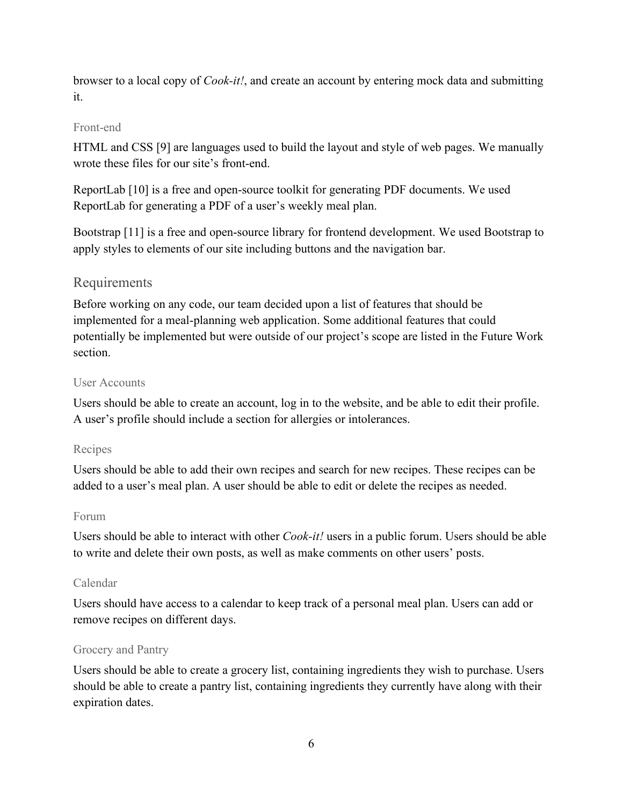browser to a local copy of *Cook-it!*, and create an account by entering mock data and submitting it.

#### Front-end

HTML and CSS [9] are languages used to build the layout and style of web pages. We manually wrote these files for our site's front-end.

ReportLab [10] is a free and open-source toolkit for generating PDF documents. We used ReportLab for generating a PDF of a user's weekly meal plan.

Bootstrap [11] is a free and open-source library for frontend development. We used Bootstrap to apply styles to elements of our site including buttons and the navigation bar.

#### <span id="page-6-0"></span>Requirements

Before working on any code, our team decided upon a list of features that should be implemented for a meal-planning web application. Some additional features that could potentially be implemented but were outside of our project's scope are listed in the Future Work section.

#### User Accounts

Users should be able to create an account, log in to the website, and be able to edit their profile. A user's profile should include a section for allergies or intolerances.

#### Recipes

Users should be able to add their own recipes and search for new recipes. These recipes can be added to a user's meal plan. A user should be able to edit or delete the recipes as needed.

#### Forum

Users should be able to interact with other *Cook-it!* users in a public forum. Users should be able to write and delete their own posts, as well as make comments on other users' posts.

#### Calendar

Users should have access to a calendar to keep track of a personal meal plan. Users can add or remove recipes on different days.

#### Grocery and Pantry

Users should be able to create a grocery list, containing ingredients they wish to purchase. Users should be able to create a pantry list, containing ingredients they currently have along with their expiration dates.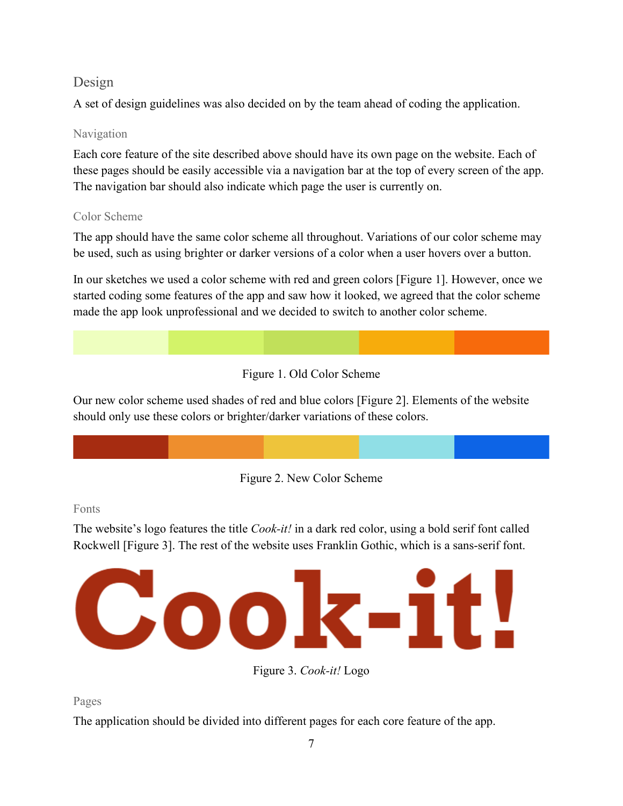#### <span id="page-7-0"></span>Design

A set of design guidelines was also decided on by the team ahead of coding the application.

#### Navigation

Each core feature of the site described above should have its own page on the website. Each of these pages should be easily accessible via a navigation bar at the top of every screen of the app. The navigation bar should also indicate which page the user is currently on.

#### Color Scheme

The app should have the same color scheme all throughout. Variations of our color scheme may be used, such as using brighter or darker versions of a color when a user hovers over a button.

In our sketches we used a color scheme with red and green colors [Figure 1]. However, once we started coding some features of the app and saw how it looked, we agreed that the color scheme made the app look unprofessional and we decided to switch to another color scheme.

#### Figure 1. Old Color Scheme

Our new color scheme used shades of red and blue colors [Figure 2]. Elements of the website should only use these colors or brighter/darker variations of these colors.



#### Fonts

The website's logo features the title *Cook-it!* in a dark red color, using a bold serif font called Rockwell [Figure 3]. The rest of the website uses Franklin Gothic, which is a sans-serif font.



Figure 3. *Cook-it!* Logo

Pages

The application should be divided into different pages for each core feature of the app.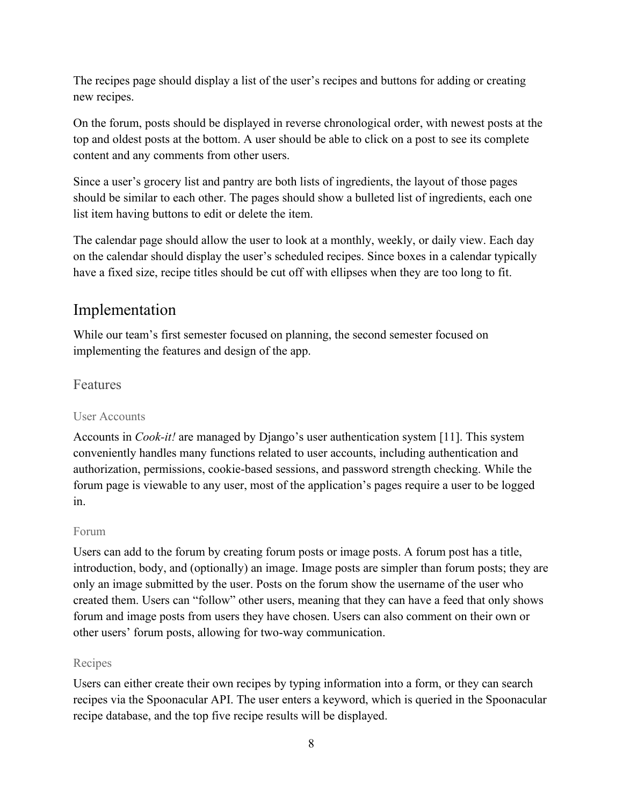The recipes page should display a list of the user's recipes and buttons for adding or creating new recipes.

On the forum, posts should be displayed in reverse chronological order, with newest posts at the top and oldest posts at the bottom. A user should be able to click on a post to see its complete content and any comments from other users.

Since a user's grocery list and pantry are both lists of ingredients, the layout of those pages should be similar to each other. The pages should show a bulleted list of ingredients, each one list item having buttons to edit or delete the item.

The calendar page should allow the user to look at a monthly, weekly, or daily view. Each day on the calendar should display the user's scheduled recipes. Since boxes in a calendar typically have a fixed size, recipe titles should be cut off with ellipses when they are too long to fit.

## <span id="page-8-0"></span>Implementation

While our team's first semester focused on planning, the second semester focused on implementing the features and design of the app.

#### <span id="page-8-1"></span>Features

#### User Accounts

Accounts in *Cook-it!* are managed by Django's user authentication system [11]. This system conveniently handles many functions related to user accounts, including authentication and authorization, permissions, cookie-based sessions, and password strength checking. While the forum page is viewable to any user, most of the application's pages require a user to be logged in.

#### Forum

Users can add to the forum by creating forum posts or image posts. A forum post has a title, introduction, body, and (optionally) an image. Image posts are simpler than forum posts; they are only an image submitted by the user. Posts on the forum show the username of the user who created them. Users can "follow" other users, meaning that they can have a feed that only shows forum and image posts from users they have chosen. Users can also comment on their own or other users' forum posts, allowing for two-way communication.

#### Recipes

Users can either create their own recipes by typing information into a form, or they can search recipes via the Spoonacular API. The user enters a keyword, which is queried in the Spoonacular recipe database, and the top five recipe results will be displayed.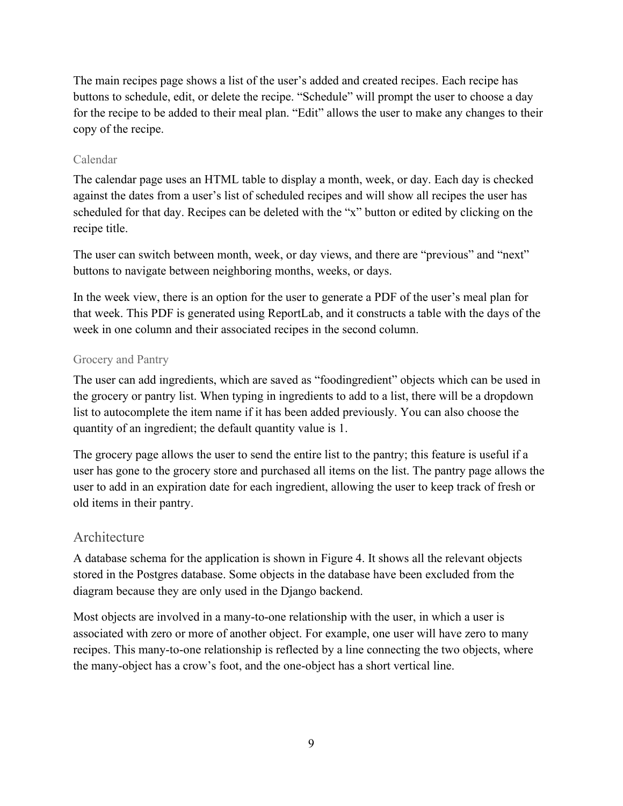The main recipes page shows a list of the user's added and created recipes. Each recipe has buttons to schedule, edit, or delete the recipe. "Schedule" will prompt the user to choose a day for the recipe to be added to their meal plan. "Edit" allows the user to make any changes to their copy of the recipe.

#### Calendar

The calendar page uses an HTML table to display a month, week, or day. Each day is checked against the dates from a user's list of scheduled recipes and will show all recipes the user has scheduled for that day. Recipes can be deleted with the "x" button or edited by clicking on the recipe title.

The user can switch between month, week, or day views, and there are "previous" and "next" buttons to navigate between neighboring months, weeks, or days.

In the week view, there is an option for the user to generate a PDF of the user's meal plan for that week. This PDF is generated using ReportLab, and it constructs a table with the days of the week in one column and their associated recipes in the second column.

#### Grocery and Pantry

The user can add ingredients, which are saved as "foodingredient" objects which can be used in the grocery or pantry list. When typing in ingredients to add to a list, there will be a dropdown list to autocomplete the item name if it has been added previously. You can also choose the quantity of an ingredient; the default quantity value is 1.

The grocery page allows the user to send the entire list to the pantry; this feature is useful if a user has gone to the grocery store and purchased all items on the list. The pantry page allows the user to add in an expiration date for each ingredient, allowing the user to keep track of fresh or old items in their pantry.

#### <span id="page-9-0"></span>Architecture

A database schema for the application is shown in Figure 4. It shows all the relevant objects stored in the Postgres database. Some objects in the database have been excluded from the diagram because they are only used in the Django backend.

Most objects are involved in a many-to-one relationship with the user, in which a user is associated with zero or more of another object. For example, one user will have zero to many recipes. This many-to-one relationship is reflected by a line connecting the two objects, where the many-object has a crow's foot, and the one-object has a short vertical line.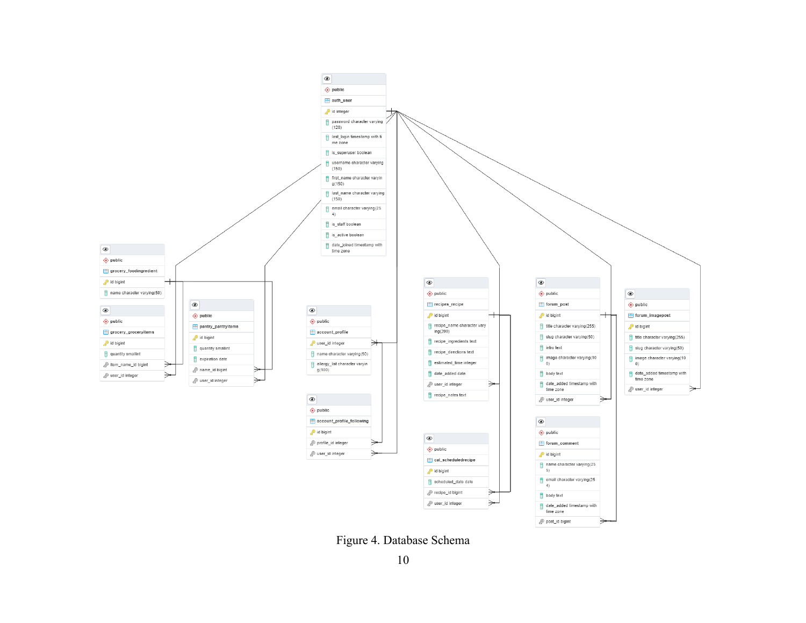

Figure 4. Database Schema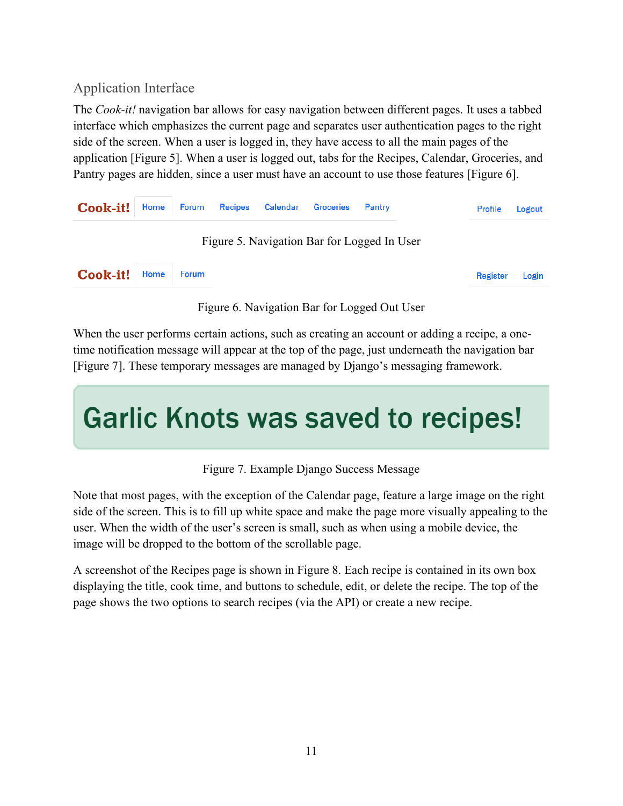## <span id="page-11-0"></span>Application Interface

The *Cook-it!* navigation bar allows for easy navigation between different pages. It uses a tabbed interface which emphasizes the current page and separates user authentication pages to the right side of the screen. When a user is logged in, they have access to all the main pages of the application [Figure 5]. When a user is logged out, tabs for the Recipes, Calendar, Groceries, and Pantry pages are hidden, since a user must have an account to use those features [Figure 6].



Figure 6. Navigation Bar for Logged Out User

When the user performs certain actions, such as creating an account or adding a recipe, a onetime notification message will appear at the top of the page, just underneath the navigation bar [Figure 7]. These temporary messages are managed by Django's messaging framework.

# **Garlic Knots was saved to recipes!**

Figure 7. Example Django Success Message

Note that most pages, with the exception of the Calendar page, feature a large image on the right side of the screen. This is to fill up white space and make the page more visually appealing to the user. When the width of the user's screen is small, such as when using a mobile device, the image will be dropped to the bottom of the scrollable page.

A screenshot of the Recipes page is shown in Figure 8. Each recipe is contained in its own box displaying the title, cook time, and buttons to schedule, edit, or delete the recipe. The top of the page shows the two options to search recipes (via the API) or create a new recipe.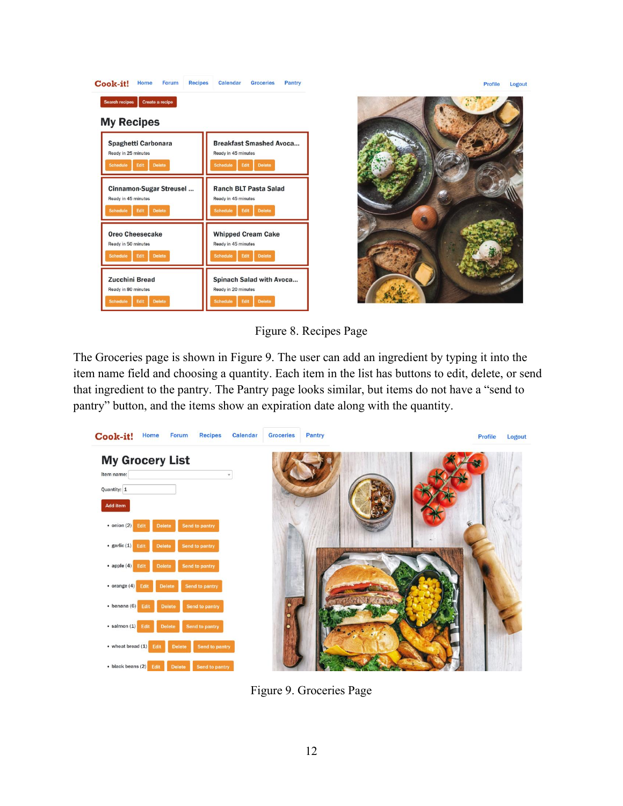



Figure 8. Recipes Page

The Groceries page is shown in Figure 9. The user can add an ingredient by typing it into the item name field and choosing a quantity. Each item in the list has buttons to edit, delete, or send that ingredient to the pantry. The Pantry page looks similar, but items do not have a "send to pantry" button, and the items show an expiration date along with the quantity.



Figure 9. Groceries Page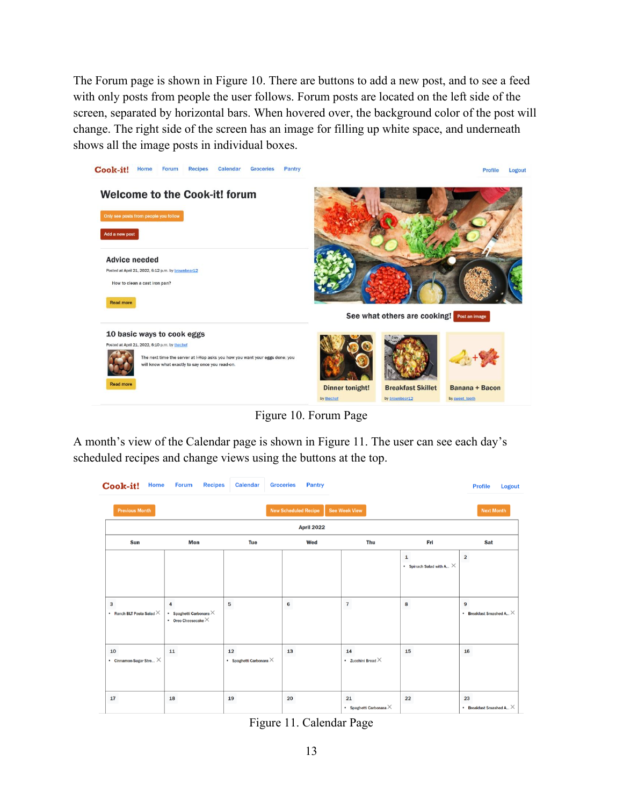The Forum page is shown in Figure 10. There are buttons to add a new post, and to see a feed with only posts from people the user follows. Forum posts are located on the left side of the screen, separated by horizontal bars. When hovered over, the background color of the post will change. The right side of the screen has an image for filling up white space, and underneath shows all the image posts in individual boxes.



Figure 10. Forum Page

A month's view of the Calendar page is shown in Figure 11. The user can see each day's scheduled recipes and change views using the buttons at the top.

| Cook-it!                                         | <b>Home</b> | <b>Forum</b>                                                      | <b>Recipes</b> | <b>Calendar</b>                      | <b>Groceries</b>            | <b>Pantry</b> |                         |                                |                                                 | <b>Profile</b>                       | <b>Logout</b> |
|--------------------------------------------------|-------------|-------------------------------------------------------------------|----------------|--------------------------------------|-----------------------------|---------------|-------------------------|--------------------------------|-------------------------------------------------|--------------------------------------|---------------|
| <b>Previous Month</b>                            |             |                                                                   |                |                                      | <b>New Scheduled Recipe</b> |               | <b>See Week View</b>    |                                |                                                 | <b>Next Month</b>                    |               |
| <b>April 2022</b>                                |             |                                                                   |                |                                      |                             |               |                         |                                |                                                 |                                      |               |
| Sun                                              |             | Mon                                                               |                | Tue                                  |                             | Wed           |                         | Thu                            | Fri                                             | Sat                                  |               |
|                                                  |             |                                                                   |                |                                      |                             |               |                         |                                | $\mathbf{1}$<br>• Spinach Salad with A $\times$ | $\overline{\mathbf{c}}$              |               |
| $\mathbf{3}$<br>• Ranch BLT Pasta Salad $\times$ |             | 4<br>* Spaghetti Carbonara $\times$<br>• Oreo Cheesecake $\times$ |                | 5                                    | 6                           |               | $\overline{\mathbf{r}}$ |                                | 8                                               | 9<br>• Breakfast Smashed A $\times$  |               |
| 10<br>• Cinnamon-Sugar Stre $\times$             |             | 11                                                                |                | 12<br>* Spaghetti Carbonara $\times$ | 13                          |               | 14                      | • Zucchini Bread $\times$      | 15                                              | 16                                   |               |
| 17                                               |             | 18                                                                |                | 19                                   | 20                          |               | 21                      | • Spaghetti Carbonara $\times$ | 22                                              | 23<br>• Breakfast Smashed A $\times$ |               |

Figure 11. Calendar Page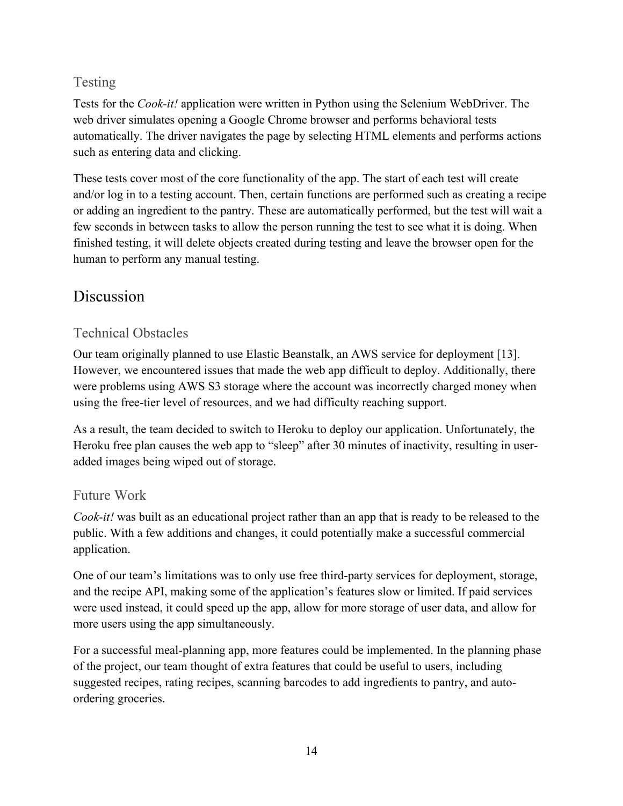## <span id="page-14-0"></span>Testing

Tests for the *Cook-it!* application were written in Python using the Selenium WebDriver. The web driver simulates opening a Google Chrome browser and performs behavioral tests automatically. The driver navigates the page by selecting HTML elements and performs actions such as entering data and clicking.

These tests cover most of the core functionality of the app. The start of each test will create and/or log in to a testing account. Then, certain functions are performed such as creating a recipe or adding an ingredient to the pantry. These are automatically performed, but the test will wait a few seconds in between tasks to allow the person running the test to see what it is doing. When finished testing, it will delete objects created during testing and leave the browser open for the human to perform any manual testing.

## <span id="page-14-1"></span>Discussion

### <span id="page-14-2"></span>Technical Obstacles

Our team originally planned to use Elastic Beanstalk, an AWS service for deployment [13]. However, we encountered issues that made the web app difficult to deploy. Additionally, there were problems using AWS S3 storage where the account was incorrectly charged money when using the free-tier level of resources, and we had difficulty reaching support.

As a result, the team decided to switch to Heroku to deploy our application. Unfortunately, the Heroku free plan causes the web app to "sleep" after 30 minutes of inactivity, resulting in useradded images being wiped out of storage.

#### <span id="page-14-3"></span>Future Work

*Cook-it!* was built as an educational project rather than an app that is ready to be released to the public. With a few additions and changes, it could potentially make a successful commercial application.

One of our team's limitations was to only use free third-party services for deployment, storage, and the recipe API, making some of the application's features slow or limited. If paid services were used instead, it could speed up the app, allow for more storage of user data, and allow for more users using the app simultaneously.

For a successful meal-planning app, more features could be implemented. In the planning phase of the project, our team thought of extra features that could be useful to users, including suggested recipes, rating recipes, scanning barcodes to add ingredients to pantry, and autoordering groceries.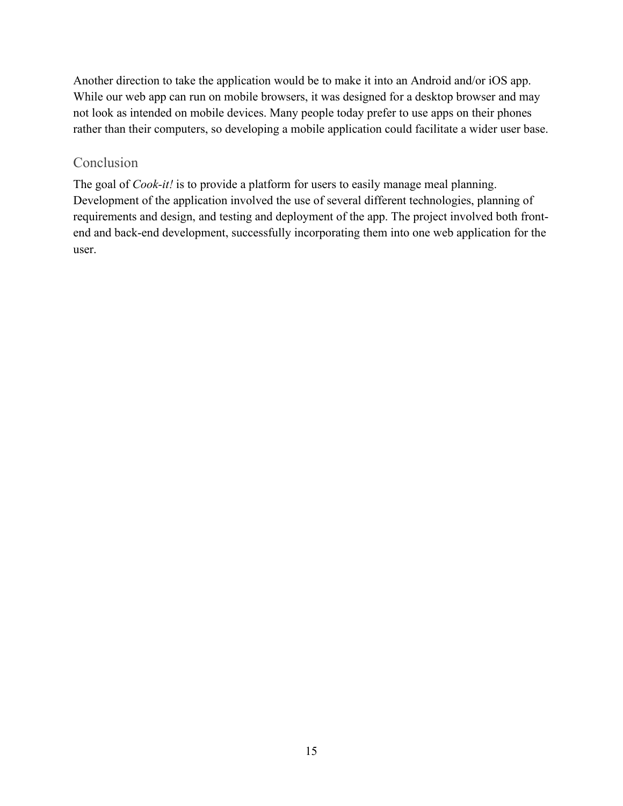Another direction to take the application would be to make it into an Android and/or iOS app. While our web app can run on mobile browsers, it was designed for a desktop browser and may not look as intended on mobile devices. Many people today prefer to use apps on their phones rather than their computers, so developing a mobile application could facilitate a wider user base.

#### <span id="page-15-0"></span>Conclusion

The goal of *Cook-it!* is to provide a platform for users to easily manage meal planning. Development of the application involved the use of several different technologies, planning of requirements and design, and testing and deployment of the app. The project involved both frontend and back-end development, successfully incorporating them into one web application for the user.